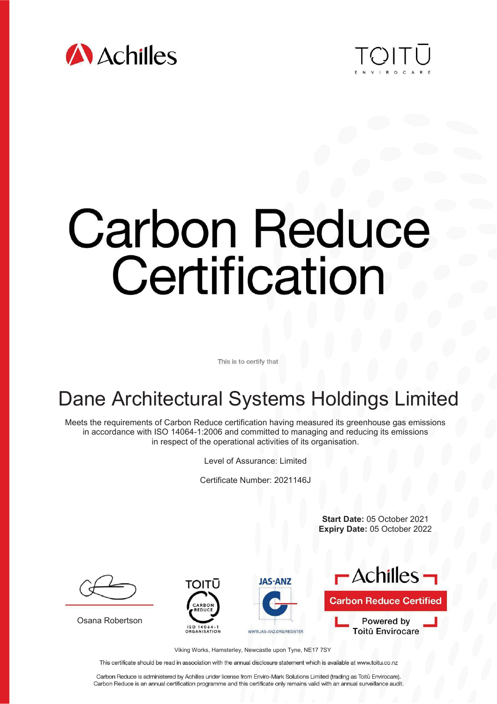



# **Carbon Reduce** Certification

This is to certify that

## Dane Architectural Systems Holdings Limited

Meets the requirements of Carbon Reduce certification having measured its greenhouse gas emissions in accordance with ISO 14064-1:2006 and committed to managing and reducing its emissions in respect of the operational activities of its organisation.

Level of Assurance: Limited

Certificate Number: 2021146J

**Start Date:** 05 October 2021 **Expiry Date:** 05 October 2022



Osana Robertson







Viking Works, Hamsterley, Newcastle upon Tyne, NE17 7SY

This certificate should be read in association with the annual disclosure statement which is available at www.toitu.co.nz

Carbon Reduce is administered by Achilles under license from Enviro-Mark Solutions Limited (trading as Toitū Envirocare). Carbon Reduce is an annual certification programme and this certificate only remains valid with an annual surveillance audit.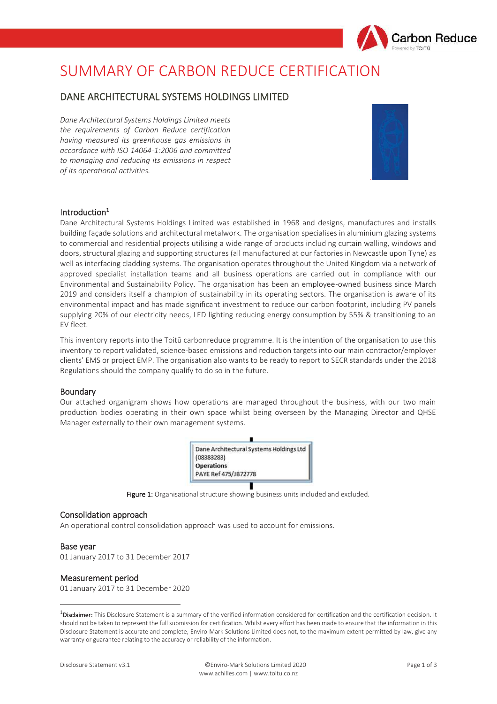

### SUMMARY OF CARBON REDUCE CERTIFICATION

#### DANE ARCHITECTURAL SYSTEMS HOLDINGS LIMITED

*Dane Architectural Systems Holdings Limited meets the requirements of Carbon Reduce certification having measured its greenhouse gas emissions in accordance with ISO 14064-1:2006 and committed to managing and reducing its emissions in respect of its operational activities.*



#### Introduction 1

Dane Architectural Systems Holdings Limited was established in 1968 and designs, manufactures and installs building façade solutions and architectural metalwork. The organisation specialises in aluminium glazing systems to commercial and residential projects utilising a wide range of products including curtain walling, windows and doors, structural glazing and supporting structures (all manufactured at our factories in Newcastle upon Tyne) as well as interfacing cladding systems. The organisation operates throughout the United Kingdom via a network of approved specialist installation teams and all business operations are carried out in compliance with our Environmental and Sustainability Policy. The organisation has been an employee-owned business since March 2019 and considers itself a champion of sustainability in its operating sectors. The organisation is aware of its environmental impact and has made significant investment to reduce our carbon footprint, including PV panels supplying 20% of our electricity needs, LED lighting reducing energy consumption by 55% & transitioning to an EV fleet.

This inventory reports into the Toitū carbonreduce programme. It is the intention of the organisation to use this inventory to report validated, science-based emissions and reduction targets into our main contractor/employer clients' EMS or project EMP. The organisation also wants to be ready to report to SECR standards under the 2018 Regulations should the company qualify to do so in the future.

#### Boundary

Our attached organigram shows how operations are managed throughout the business, with our two main production bodies operating in their own space whilst being overseen by the Managing Director and QHSE Manager externally to their own management systems.

|                   | Dane Architectural Systems Holdings Ltd |  |
|-------------------|-----------------------------------------|--|
| (08383283)        |                                         |  |
| <b>Operations</b> |                                         |  |
|                   | PAYE Ref 475/JB72778                    |  |

Figure 1: Organisational structure showing business units included and excluded.

#### Consolidation approach

An operational control consolidation approach was used to account for emissions.

#### Base year

01 January 2017 to 31 December 2017

#### Measurement period

01 January 2017 to 31 December 2020

<sup>&</sup>lt;sup>1</sup>Disclaimer: This Disclosure Statement is a summary of the verified information considered for certification and the certification decision. It should not be taken to represent the full submission for certification. Whilst every effort has been made to ensure that the information in this Disclosure Statement is accurate and complete, Enviro-Mark Solutions Limited does not, to the maximum extent permitted by law, give any warranty or guarantee relating to the accuracy or reliability of the information.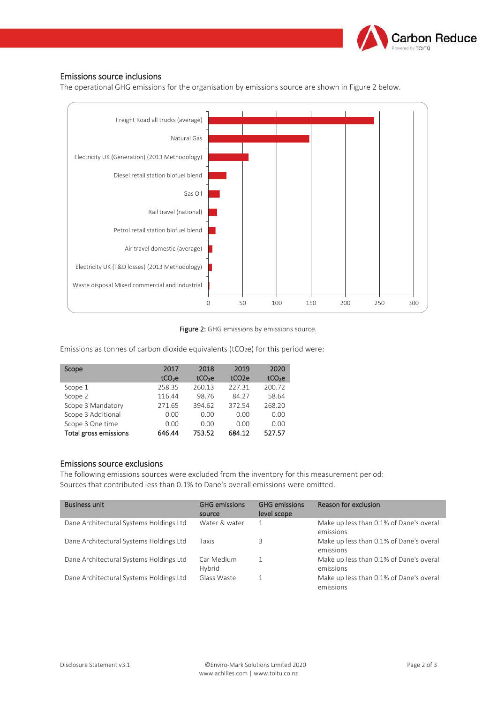

#### Emissions source inclusions

The operational GHG emissions for the organisation by emissions source are shown in Figure 2 below.



Figure 2: GHG emissions by emissions source.

Emissions as tonnes of carbon dioxide equivalents ( $tCO<sub>2</sub>e$ ) for this period were:

| Scope                 | 2017<br>tCO <sub>2</sub> e | 2018<br>tCO <sub>2</sub> e | 2019<br>tCO <sub>2e</sub> | 2020<br>tCO <sub>2</sub> e |
|-----------------------|----------------------------|----------------------------|---------------------------|----------------------------|
| Scope 1               | 258.35                     | 260.13                     | 227.31                    | 200.72                     |
| Scope 2               | 116.44                     | 98.76                      | 84.27                     | 58.64                      |
| Scope 3 Mandatory     | 271.65                     | 394.62                     | 372.54                    | 268.20                     |
| Scope 3 Additional    | 0.00                       | 0.00                       | 0.00                      | 0.00                       |
| Scope 3 One time      | 0.00                       | 0.00                       | 0.00                      | 0.00                       |
| Total gross emissions | 646.44                     | 753.52                     | 684.12                    | 527.57                     |

#### Emissions source exclusions

The following emissions sources were excluded from the inventory for this measurement period: Sources that contributed less than 0.1% to Dane's overall emissions were omitted.

| <b>Business unit</b>                    | <b>GHG emissions</b><br>source | <b>GHG emissions</b><br>level scope | Reason for exclusion                                  |
|-----------------------------------------|--------------------------------|-------------------------------------|-------------------------------------------------------|
| Dane Architectural Systems Holdings Ltd | Water & water                  |                                     | Make up less than 0.1% of Dane's overall<br>emissions |
| Dane Architectural Systems Holdings Ltd | Taxis                          | 3                                   | Make up less than 0.1% of Dane's overall<br>emissions |
| Dane Architectural Systems Holdings Ltd | Car Medium<br><b>Hybrid</b>    |                                     | Make up less than 0.1% of Dane's overall<br>emissions |
| Dane Architectural Systems Holdings Ltd | Glass Waste                    |                                     | Make up less than 0.1% of Dane's overall<br>emissions |